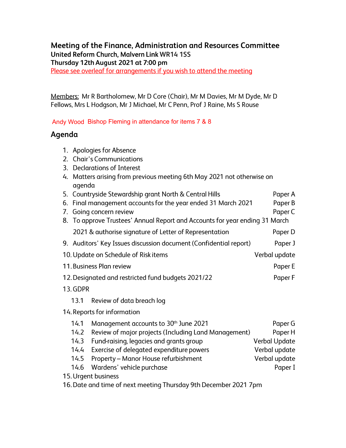## **Meeting of the Finance, Administration and Resources Committee United Reform Church, Malvern Link WR14 15S Thursday 12th August 2021 at 7:00 pm**

Please see overleaf for arrangements if you wish to attend the meeting

Members: Mr R Bartholomew, Mr D Core (Chair), Mr M Davies, Mr M Dyde, Mr D Fellows, Mrs L Hodgson, Mr J Michael, Mr C Penn, Prof J Raine, Ms S Rouse

Andy Wood Bishop Fleming in attendance for items 7 & 8

1. Apologies for Absence 2. Chair's Communications

## **Agenda**

|                                                                  | 3. Declarations of Interest                                                   |                                                                   |                      |
|------------------------------------------------------------------|-------------------------------------------------------------------------------|-------------------------------------------------------------------|----------------------|
| 4.                                                               | Matters arising from previous meeting 6th May 2021 not otherwise on<br>agenda |                                                                   |                      |
| 5.                                                               | Countryside Stewardship grant North & Central Hills                           |                                                                   |                      |
| 6.                                                               | Final management accounts for the year ended 31 March 2021<br>Paper B         |                                                                   |                      |
| 7.                                                               | Paper C<br>Going concern review                                               |                                                                   |                      |
| 8.                                                               | To approve Trustees' Annual Report and Accounts for year ending 31 March      |                                                                   |                      |
|                                                                  |                                                                               | 2021 & authorise signature of Letter of Representation            | Paper D              |
|                                                                  |                                                                               | 9. Auditors' Key Issues discussion document (Confidential report) | Paper J              |
| 10. Update on Schedule of Risk items<br>Verbal update            |                                                                               |                                                                   |                      |
| 11. Business Plan review<br>Paper E                              |                                                                               |                                                                   |                      |
| 12. Designated and restricted fund budgets 2021/22<br>Paper F    |                                                                               |                                                                   |                      |
| 13. GDPR                                                         |                                                                               |                                                                   |                      |
|                                                                  | 13.1                                                                          | Review of data breach log                                         |                      |
| 14. Reports for information                                      |                                                                               |                                                                   |                      |
|                                                                  | 14.1                                                                          | Management accounts to 30th June 2021                             | Paper G              |
|                                                                  | 14.2                                                                          | Review of major projects (Including Land Management)              | Paper H              |
|                                                                  | 14.3                                                                          | Fund-raising, legacies and grants group                           | <b>Verbal Update</b> |
|                                                                  | 14.4                                                                          | Exercise of delegated expenditure powers                          | Verbal update        |
|                                                                  | 14.5                                                                          | Property - Manor House refurbishment                              | Verbal update        |
|                                                                  | 14.6                                                                          | Wardens' vehicle purchase                                         | Paper I              |
| 15. Urgent business                                              |                                                                               |                                                                   |                      |
| 16. Date and time of next meeting Thursday 9th December 2021 7pm |                                                                               |                                                                   |                      |